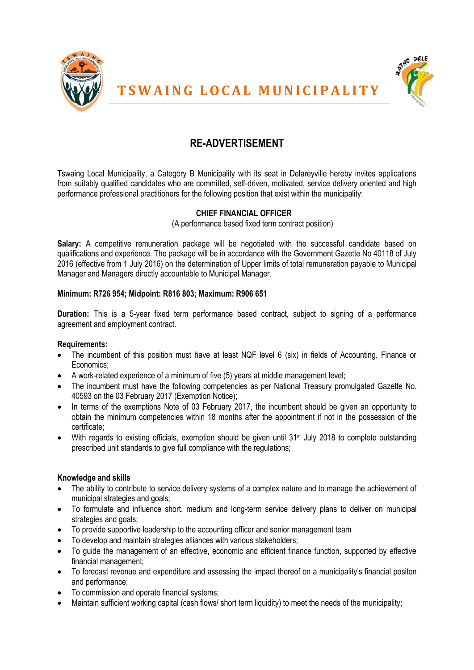



# **T S W A I N G L O C A L M U N I C I P A L I T Y**

## **RE-ADVERTISEMENT**

Tswaing Local Municipality, a Category B Municipality with its seat in Delareyville hereby invites applications from suitably qualified candidates who are committed, self-driven, motivated, service delivery oriented and high performance professional practitioners for the following position that exist within the municipality:

### **CHIEF FINANCIAL OFFICER**

(A performance based fixed term contract position)

**Salary:** A competitive remuneration package will be negotiated with the successful candidate based on qualifications and experience. The package will be in accordance with the Government Gazette No 40118 of July 2016 (effective from 1 July 2016) on the determination of Upper limits of total remuneration payable to Municipal Manager and Managers directly accountable to Municipal Manager.

#### **Minimum: R726 954; Midpoint: R816 803; Maximum: R906 651**

**Duration:** This is a 5-year fixed term performance based contract, subject to signing of a performance agreement and employment contract.

#### **Requirements:**

- The incumbent of this position must have at least NQF level 6 (six) in fields of Accounting, Finance or Economics;
- A work-related experience of a minimum of five (5) years at middle management level;
- The incumbent must have the following competencies as per National Treasury promulgated Gazette No. 40593 on the 03 February 2017 (Exemption Notice);
- In terms of the exemptions Note of 03 February 2017, the incumbent should be given an opportunity to obtain the minimum competencies within 18 months after the appointment if not in the possession of the certificate;
- $\bullet$  With regards to existing officials, exemption should be given until 31<sup>st</sup> July 2018 to complete outstanding prescribed unit standards to give full compliance with the regulations;

#### **Knowledge and skills**

- The ability to contribute to service delivery systems of a complex nature and to manage the achievement of municipal strategies and goals;
- To formulate and influence short, medium and long-term service delivery plans to deliver on municipal strategies and goals;
- To provide supportive leadership to the accounting officer and senior management team
- To develop and maintain strategies alliances with various stakeholders;
- To guide the management of an effective, economic and efficient finance function, supported by effective financial management;
- To forecast revenue and expenditure and assessing the impact thereof on a municipality's financial positon and performance;
- To commission and operate financial systems;
- Maintain sufficient working capital (cash flows/ short term liquidity) to meet the needs of the municipality;